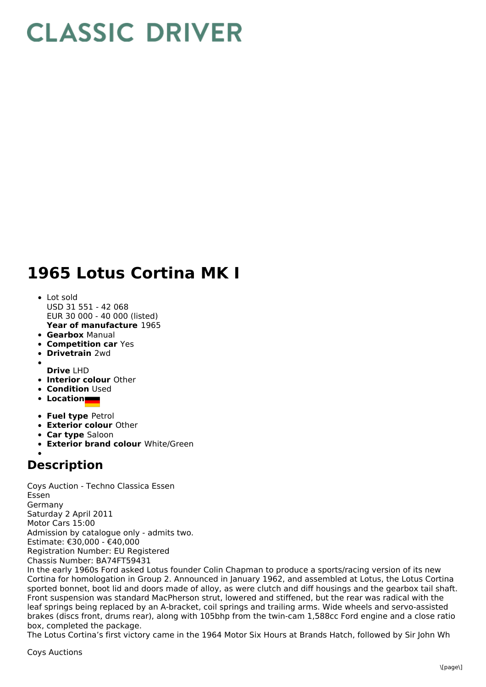## **CLASSIC DRIVER**

## **1965 Lotus Cortina MK I**

- **Year of manufacture** 1965 • Lot sold USD 31 551 - 42 068 EUR 30 000 - 40 000 (listed)
- **Gearbox** Manual
- **Competition car** Yes
- **Drivetrain** 2wd
- **Drive** LHD
- **Interior colour** Other
- **Condition** Used
- **Location**
- **Fuel type** Petrol
- **Exterior colour** Other
- **Car type** Saloon
- **Exterior brand colour** White/Green
- 

## **Description**

Coys Auction - Techno Classica Essen Essen Germany Saturday 2 April 2011 Motor Cars 15:00 Admission by catalogue only - admits two. Estimate: €30,000 - €40,000 Registration Number: EU Registered Chassis Number: BA74FT59431

In the early 1960s Ford asked Lotus founder Colin Chapman to produce a sports/racing version of its new Cortina for homologation in Group 2. Announced in January 1962, and assembled at Lotus, the Lotus Cortina sported bonnet, boot lid and doors made of alloy, as were clutch and diff housings and the gearbox tail shaft. Front suspension was standard MacPherson strut, lowered and stiffened, but the rear was radical with the leaf springs being replaced by an A-bracket, coil springs and trailing arms. Wide wheels and servo-assisted brakes (discs front, drums rear), along with 105bhp from the twin-cam 1,588cc Ford engine and a close ratio box, completed the package.

The Lotus Cortina's first victory came in the 1964 Motor Six Hours at Brands Hatch, followed by Sir John Wh

Coys Auctions